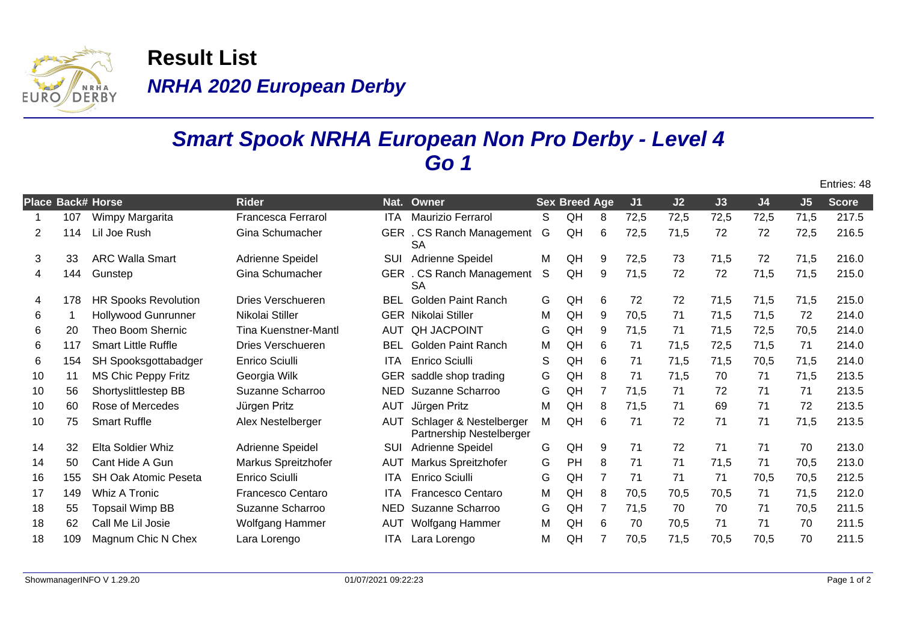

**NRHA 2020 European Derby Result List**

## **Smart Spook NRHA European Non Pro Derby - Level 4 Go 1**

|                          |     |                             |                             |            |                                                     |   |                      |                |      |      |      |                |                | Entries: 48 |
|--------------------------|-----|-----------------------------|-----------------------------|------------|-----------------------------------------------------|---|----------------------|----------------|------|------|------|----------------|----------------|-------------|
| <b>Place Back# Horse</b> |     |                             | <b>Rider</b>                | Nat.       | Owner                                               |   | <b>Sex Breed Age</b> |                | J1   | J2   | J3   | J <sub>4</sub> | J <sub>5</sub> | Score       |
|                          | 107 | Wimpy Margarita             | <b>Francesca Ferrarol</b>   | <b>ITA</b> | Maurizio Ferrarol                                   | S | QH                   | 8              | 72,5 | 72,5 | 72,5 | 72,5           | 71,5           | 217.5       |
| 2                        | 114 | Lil Joe Rush                | Gina Schumacher             |            | GER . CS Ranch Management<br><b>SA</b>              | G | QH                   | 6              | 72,5 | 71,5 | 72   | 72             | 72,5           | 216.5       |
| 3                        | 33  | <b>ARC Walla Smart</b>      | Adrienne Speidel            | SUI        | Adrienne Speidel                                    | M | QH                   | 9              | 72,5 | 73   | 71,5 | 72             | 71,5           | 216.0       |
| 4                        | 144 | Gunstep                     | Gina Schumacher             |            | GER . CS Ranch Management<br><b>SA</b>              | S | QH                   | 9              | 71,5 | 72   | 72   | 71,5           | 71,5           | 215.0       |
| 4                        | 178 | <b>HR Spooks Revolution</b> | Dries Verschueren           | <b>BEL</b> | <b>Golden Paint Ranch</b>                           | G | QH                   | 6              | 72   | 72   | 71,5 | 71,5           | 71,5           | 215.0       |
| 6                        |     | <b>Hollywood Gunrunner</b>  | Nikolai Stiller             | <b>GER</b> | Nikolai Stiller                                     | M | QH                   | 9              | 70,5 | 71   | 71,5 | 71,5           | 72             | 214.0       |
| 6                        | 20  | Theo Boom Shernic           | <b>Tina Kuenstner-Mantl</b> | <b>AUT</b> | <b>QH JACPOINT</b>                                  | G | QH                   | 9              | 71,5 | 71   | 71,5 | 72,5           | 70,5           | 214.0       |
| 6                        | 117 | <b>Smart Little Ruffle</b>  | Dries Verschueren           | <b>BEL</b> | <b>Golden Paint Ranch</b>                           | M | QH                   | 6              | 71   | 71,5 | 72,5 | 71,5           | 71             | 214.0       |
| 6                        | 154 | SH Spooksgottabadger        | <b>Enrico Sciulli</b>       | <b>ITA</b> | Enrico Sciulli                                      | S | QH                   | 6              | 71   | 71,5 | 71,5 | 70,5           | 71,5           | 214.0       |
| 10                       | 11  | <b>MS Chic Peppy Fritz</b>  | Georgia Wilk                | <b>GER</b> | saddle shop trading                                 | G | QH                   | 8              | 71   | 71,5 | 70   | 71             | 71,5           | 213.5       |
| 10                       | 56  | Shortyslittlestep BB        | Suzanne Scharroo            | <b>NED</b> | Suzanne Scharroo                                    | G | QH                   | $\overline{7}$ | 71,5 | 71   | 72   | 71             | 71             | 213.5       |
| 10                       | 60  | Rose of Mercedes            | Jürgen Pritz                | <b>AUT</b> | Jürgen Pritz                                        | M | QH                   | 8              | 71,5 | 71   | 69   | 71             | 72             | 213.5       |
| 10                       | 75  | <b>Smart Ruffle</b>         | Alex Nestelberger           | <b>AUT</b> | Schlager & Nestelberger<br>Partnership Nestelberger | М | QH                   | 6              | 71   | 72   | 71   | 71             | 71,5           | 213.5       |
| 14                       | 32  | <b>Elta Soldier Whiz</b>    | Adrienne Speidel            | SUI        | Adrienne Speidel                                    | G | QH                   | 9              | 71   | 72   | 71   | 71             | 70             | 213.0       |
| 14                       | 50  | Cant Hide A Gun             | Markus Spreitzhofer         | <b>AUT</b> | Markus Spreitzhofer                                 | G | PH                   | 8              | 71   | 71   | 71,5 | 71             | 70,5           | 213.0       |
| 16                       | 155 | <b>SH Oak Atomic Peseta</b> | Enrico Sciulli              | <b>ITA</b> | Enrico Sciulli                                      | G | QH                   | $\overline{7}$ | 71   | 71   | 71   | 70,5           | 70,5           | 212.5       |
| 17                       | 149 | <b>Whiz A Tronic</b>        | Francesco Centaro           | <b>ITA</b> | Francesco Centaro                                   | M | QH                   | 8              | 70,5 | 70,5 | 70,5 | 71             | 71,5           | 212.0       |
| 18                       | 55  | <b>Topsail Wimp BB</b>      | Suzanne Scharroo            | <b>NED</b> | Suzanne Scharroo                                    | G | QH                   | $\overline{7}$ | 71,5 | 70   | 70   | 71             | 70,5           | 211.5       |
| 18                       | 62  | Call Me Lil Josie           | Wolfgang Hammer             | AUT        | Wolfgang Hammer                                     | M | QH                   | 6              | 70   | 70,5 | 71   | 71             | 70             | 211.5       |
| 18                       | 109 | Magnum Chic N Chex          | Lara Lorengo                | <b>ITA</b> | Lara Lorengo                                        | M | QH                   | 7              | 70,5 | 71,5 | 70,5 | 70,5           | 70             | 211.5       |